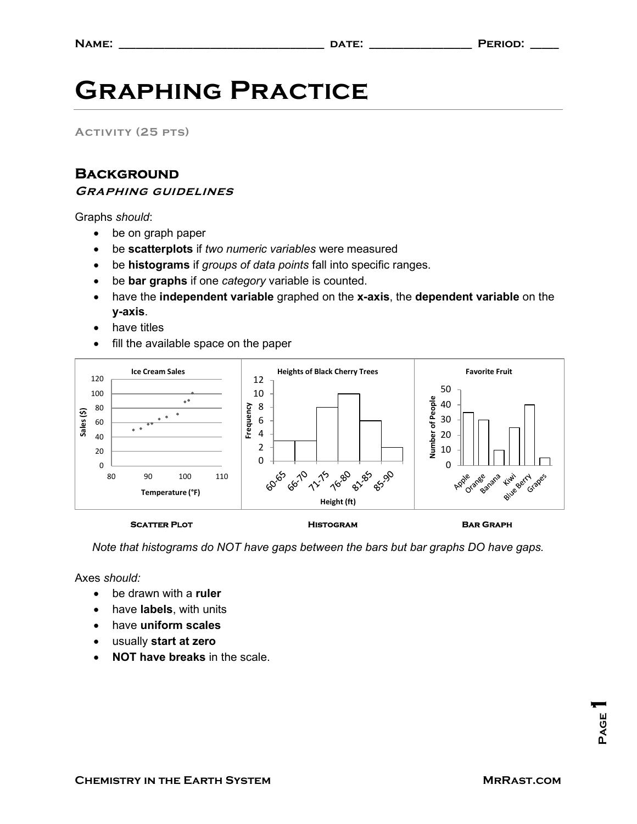## Graphing Practice

Activity (25 pts)

## **BACKGROUND**

Graphing guidelines

Graphs should:

- be on graph paper
- be scatterplots if two numeric variables were measured
- be histograms if groups of data points fall into specific ranges.
- be bar graphs if one category variable is counted.
- have the independent variable graphed on the x-axis, the dependent variable on the y-axis.
- have titles
- fill the available space on the paper



## SCATTER PLOT **Example 20 FOOT** HISTOGRAM BAR GRAPH

Note that histograms do NOT have gaps between the bars but bar graphs DO have gaps.

Axes should:

- be drawn with a **ruler**
- have **labels**, with units
- have uniform scales
- usually start at zero
- NOT have breaks in the scale.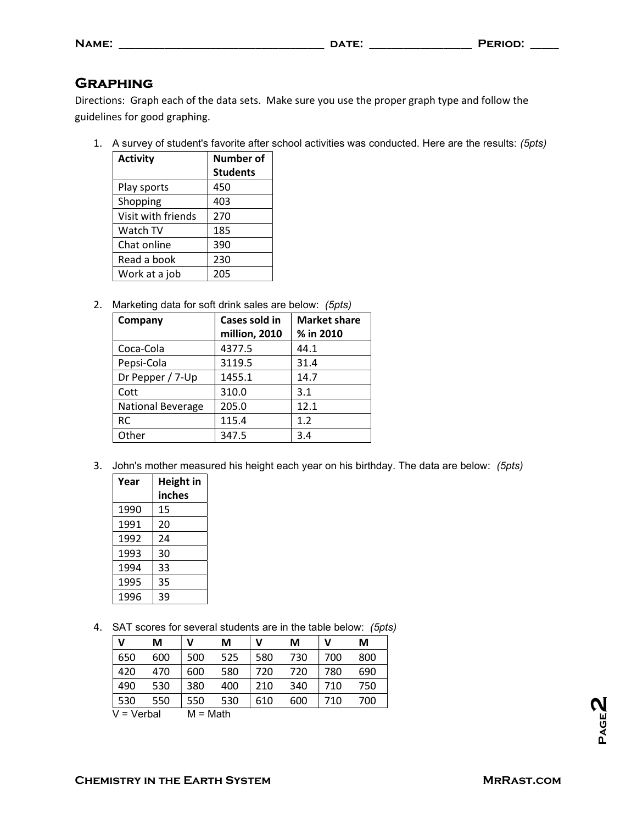| <b>GRAPHING</b> |  |  |
|-----------------|--|--|
|                 |  |  |

Directions: Graph each of the data sets. Make sure you use the proper graph type and follow the guidelines for good graphing.

1. A survey of student's favorite after school activities was conducted. Here are the results: (5pts)

| <b>Activity</b>    | <b>Number of</b> |  |
|--------------------|------------------|--|
|                    | <b>Students</b>  |  |
| Play sports        | 450              |  |
| Shopping           | 403              |  |
| Visit with friends | 270              |  |
| Watch TV           | 185              |  |
| Chat online        | 390              |  |
| Read a book        | 230              |  |
| Work at a job      | 205              |  |

2. Marketing data for soft drink sales are below: (5pts)

| Company                  | Cases sold in | <b>Market share</b> |  |
|--------------------------|---------------|---------------------|--|
|                          | million, 2010 | % in 2010           |  |
| Coca-Cola                | 4377.5        | 44.1                |  |
| Pepsi-Cola               | 3119.5        | 31.4                |  |
| Dr Pepper / 7-Up         | 1455.1        | 14.7                |  |
| Cott                     | 310.0         | 3.1                 |  |
| <b>National Beverage</b> | 205.0         | 12.1                |  |
| <b>RC</b>                | 115.4         | 1.2                 |  |
| Other                    | 347.5         | 3.4                 |  |

3. John's mother measured his height each year on his birthday. The data are below: (5pts)

| Year | Height in |  |
|------|-----------|--|
|      | inches    |  |
| 1990 | 15        |  |
| 1991 | 20        |  |
| 1992 | 24        |  |
| 1993 | 30        |  |
| 1994 | 33        |  |
| 1995 | 35        |  |
| 1996 | 39        |  |
|      |           |  |

4. SAT scores for several students are in the table below: (5pts)

| v          | М                          | v   | M   | v   | М   | ν   | М   |
|------------|----------------------------|-----|-----|-----|-----|-----|-----|
| 650        | 600                        | 500 | 525 | 580 | 730 | 700 | 800 |
| 420        | 470                        | 600 | 580 | 720 | 720 | 780 | 690 |
| 490        | 530                        | 380 | 400 | 210 | 340 | 710 | 750 |
| 530        | 550                        | 550 | 530 | 610 | 600 | 710 | 700 |
| $\sqrt{1}$ | <b>A</b> <i>I</i> <b>I</b> | . . | .   |     |     |     |     |

 $V = Verbal$  M = Math